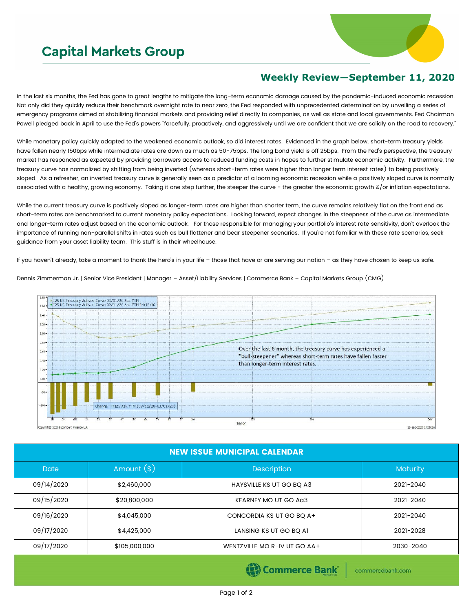## **Capital Markets Group**



## **Weekly Review—September 11, 2020**

In the last six months, the Fed has gone to great lengths to mitigate the long-term economic damage caused by the pandemic-induced economic recession. Not only did they quickly reduce their benchmark overnight rate to near zero, the Fed responded with unprecedented determination by unveiling a series of emergency programs aimed at stabilizing financial markets and providing relief directly to companies, as well as state and local governments. Fed Chairman Powell pledged back in April to use the Fed's powers "forcefully, proactively, and aggressively until we are confident that we are solidly on the road to recovery."

While monetary policy quickly adapted to the weakened economic outlook, so did interest rates. Evidenced in the graph below, short-term treasury yields have fallen nearly 150bps while intermediate rates are down as much as 50-75bps. The long bond yield is off 25bps. From the Fed's perspective, the treasury market has responded as expected by providing borrowers access to reduced funding costs in hopes to further stimulate economic activity. Furthermore, the treasury curve has normalized by shifting from being inverted (whereas short-term rates were higher than longer term interest rates) to being positively sloped. As a refresher, an inverted treasury curve is generally seen as a predictor of a looming economic recession while a positively sloped curve is normally associated with a healthy, growing economy. Taking it one step further, the steeper the curve - the greater the economic growth &/or inflation expectations.

While the current treasury curve is positively sloped as longer-term rates are higher than shorter term, the curve remains relatively flat on the front end as short-term rates are benchmarked to current monetary policy expectations. Looking forward, expect changes in the steepness of the curve as intermediate and longer-term rates adjust based on the economic outlook. For those responsible for managing your portfolio's interest rate sensitivity, don't overlook the importance of running non-parallel shifts in rates such as bull flattener and bear steepener scenarios. If you're not familiar with these rate scenarios, seek guidance from your asset liability team. This stuff is in their wheelhouse.

If you haven't already, take a moment to thank the hero's in your life – those that have or are serving our nation – as they have chosen to keep us safe.

.<br>IZ5 US Treasury Actives Curve 03/01/20 Ask YTM<br>• 125 US Treasury Actives Curve 09/11/20 Ask YTM 14:15:16  $1.40$ 12  $1.00$ Over the last 6 month, the treasury curve has experienced a 0.60 "bull-steepener" whereas short-term rates have fallen faster than longer-term interest rates.  $0.20$ 125 Ask YTM (09/11/20-03/01/20) Tenor 11-Sep-2020 13:15

Dennis Zimmerman Jr. | Senior Vice President | Manager – Asset/Liability Services | Commerce Bank – Capital Markets Group (CMG)

| <b>NEW ISSUE MUNICIPAL CALENDAR</b> |               |                                               |                 |  |  |  |
|-------------------------------------|---------------|-----------------------------------------------|-----------------|--|--|--|
| <b>Date</b>                         | Amount $(*)$  | <b>Description</b>                            | <b>Maturity</b> |  |  |  |
| 09/14/2020                          | \$2,460,000   | HAYSVILLE KS UT GO BQ A3                      | 2021-2040       |  |  |  |
| 09/15/2020                          | \$20,800,000  | KEARNEY MO UT GO AG3                          | 2021-2040       |  |  |  |
| 09/16/2020                          | \$4,045,000   | CONCORDIA KS UT GO BQ A+                      | 2021-2040       |  |  |  |
| 09/17/2020                          | \$4,425,000   | LANSING KS UT GO BO AI                        | 2021-2028       |  |  |  |
| 09/17/2020                          | \$105,000,000 | WENTZVILLE MO R-IV UT GO AA+                  | 2030-2040       |  |  |  |
|                                     |               | <b>ALL</b><br><b>Mary Committee Committee</b> |                 |  |  |  |

(S) Commerce Bank

commercebank.com